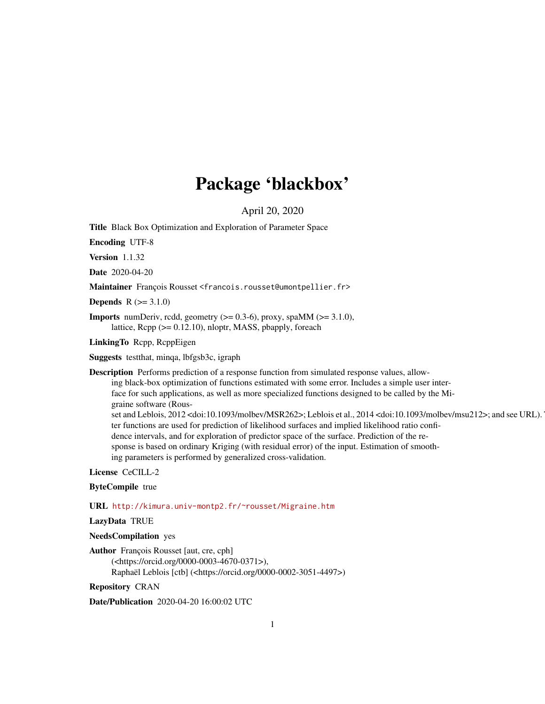# Package 'blackbox'

April 20, 2020

<span id="page-0-0"></span>Title Black Box Optimization and Exploration of Parameter Space

Encoding UTF-8

Version 1.1.32

Date 2020-04-20

Maintainer François Rousset <francois.rousset@umontpellier.fr>

**Depends**  $R (= 3.1.0)$ 

**Imports** numDeriv, rcdd, geometry  $(>= 0.3-6)$ , proxy, spaMM  $(>= 3.1.0)$ , lattice, Rcpp (>= 0.12.10), nloptr, MASS, pbapply, foreach

LinkingTo Rcpp, RcppEigen

Suggests testthat, minqa, lbfgsb3c, igraph

Description Performs prediction of a response function from simulated response values, allowing black-box optimization of functions estimated with some error. Includes a simple user interface for such applications, as well as more specialized functions designed to be called by the Migraine software (Rousset and Leblois, 2012 <doi:10.1093/molbev/MSR262>; Leblois et al., 2014 <doi:10.1093/molbev/msu212>; and see URL). ter functions are used for prediction of likelihood surfaces and implied likelihood ratio confidence intervals, and for exploration of predictor space of the surface. Prediction of the response is based on ordinary Kriging (with residual error) of the input. Estimation of smoothing parameters is performed by generalized cross-validation.

License CeCILL-2

# ByteCompile true

URL <http://kimura.univ-montp2.fr/~rousset/Migraine.htm>

LazyData TRUE

NeedsCompilation yes

Author François Rousset [aut, cre, cph] (<https://orcid.org/0000-0003-4670-0371>), Raphaël Leblois [ctb] (<https://orcid.org/0000-0002-3051-4497>)

Repository CRAN

Date/Publication 2020-04-20 16:00:02 UTC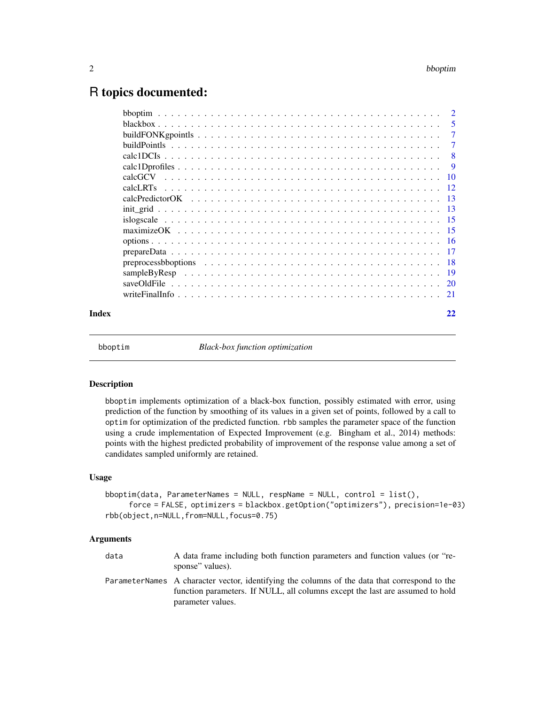# <span id="page-1-0"></span>R topics documented:

|       |                                                                                                        | $\overline{2}$ |
|-------|--------------------------------------------------------------------------------------------------------|----------------|
|       |                                                                                                        | - 5            |
|       | buildFONK go point $s_1, \ldots, s_n, \ldots, s_n, \ldots, s_n, \ldots, s_n, \ldots, s_n, \ldots, s_n$ | -7             |
|       |                                                                                                        | 7              |
|       |                                                                                                        | - 8            |
|       |                                                                                                        | - 9            |
|       | calcGCV                                                                                                |                |
|       | calcLRTs                                                                                               |                |
|       |                                                                                                        |                |
|       |                                                                                                        |                |
|       |                                                                                                        |                |
|       |                                                                                                        |                |
|       |                                                                                                        |                |
|       |                                                                                                        |                |
|       |                                                                                                        |                |
|       |                                                                                                        |                |
|       |                                                                                                        |                |
|       | write Final Info.                                                                                      |                |
| Index |                                                                                                        | 22             |
|       |                                                                                                        |                |

bboptim *Black-box function optimization*

# Description

bboptim implements optimization of a black-box function, possibly estimated with error, using prediction of the function by smoothing of its values in a given set of points, followed by a call to optim for optimization of the predicted function. rbb samples the parameter space of the function using a crude implementation of Expected Improvement (e.g. Bingham et al., 2014) methods: points with the highest predicted probability of improvement of the response value among a set of candidates sampled uniformly are retained.

#### Usage

```
bboptim(data, ParameterNames = NULL, respName = NULL, control = list(),
     force = FALSE, optimizers = blackbox.getOption("optimizers"), precision=1e-03)
rbb(object,n=NULL,from=NULL,focus=0.75)
```
# Arguments

| data | A data frame including both function parameters and function values (or "re-<br>sponse" values).                                                                               |
|------|--------------------------------------------------------------------------------------------------------------------------------------------------------------------------------|
|      | ParameterNames A character vector, identifying the columns of the data that correspond to the<br>function parameters. If NULL, all columns except the last are assumed to hold |
|      | parameter values.                                                                                                                                                              |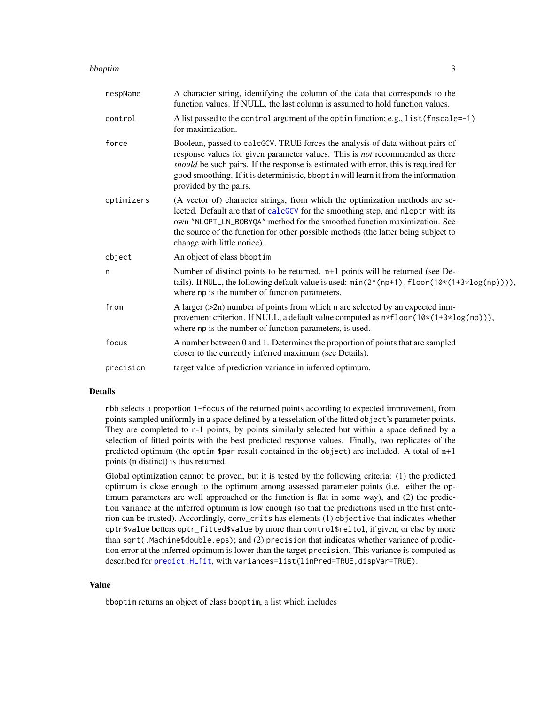#### <span id="page-2-0"></span>bboptim 3

| respName   | A character string, identifying the column of the data that corresponds to the<br>function values. If NULL, the last column is assumed to hold function values.                                                                                                                                                                                                       |
|------------|-----------------------------------------------------------------------------------------------------------------------------------------------------------------------------------------------------------------------------------------------------------------------------------------------------------------------------------------------------------------------|
| control    | A list passed to the control argument of the optim function; e.g., list (fnscale=-1)<br>for maximization.                                                                                                                                                                                                                                                             |
| force      | Boolean, passed to calcGCV. TRUE forces the analysis of data without pairs of<br>response values for given parameter values. This is not recommended as there<br>should be such pairs. If the response is estimated with error, this is required for<br>good smoothing. If it is deterministic, bbopt im will learn it from the information<br>provided by the pairs. |
| optimizers | (A vector of) character strings, from which the optimization methods are se-<br>lected. Default are that of calcGCV for the smoothing step, and nloptr with its<br>own "NLOPT_LN_BOBYQA" method for the smoothed function maximization. See<br>the source of the function for other possible methods (the latter being subject to<br>change with little notice).      |
| object     | An object of class bboptim                                                                                                                                                                                                                                                                                                                                            |
| n          | Number of distinct points to be returned. n+1 points will be returned (see De-<br>tails). If NULL, the following default value is used: $min(2^{(n+1)},$ floor $(10*(1+3*log(np))))$ ,<br>where np is the number of function parameters.                                                                                                                              |
| from       | A larger $(2n)$ number of points from which n are selected by an expected inm-<br>provement criterion. If NULL, a default value computed as $n*floor(10*(1+3*log(np)))$ ,<br>where np is the number of function parameters, is used.                                                                                                                                  |
| focus      | A number between 0 and 1. Determines the proportion of points that are sampled<br>closer to the currently inferred maximum (see Details).                                                                                                                                                                                                                             |
| precision  | target value of prediction variance in inferred optimum.                                                                                                                                                                                                                                                                                                              |

# Details

rbb selects a proportion 1-focus of the returned points according to expected improvement, from points sampled uniformly in a space defined by a tesselation of the fitted object's parameter points. They are completed to n-1 points, by points similarly selected but within a space defined by a selection of fitted points with the best predicted response values. Finally, two replicates of the predicted optimum (the optim \$par result contained in the object) are included. A total of n+1 points (n distinct) is thus returned.

Global optimization cannot be proven, but it is tested by the following criteria: (1) the predicted optimum is close enough to the optimum among assessed parameter points (i.e. either the optimum parameters are well approached or the function is flat in some way), and (2) the prediction variance at the inferred optimum is low enough (so that the predictions used in the first criterion can be trusted). Accordingly, conv\_crits has elements (1) objective that indicates whether optr\$value betters optr\_fitted\$value by more than control\$reltol, if given, or else by more than sqrt(.Machine\$double.eps); and (2) precision that indicates whether variance of prediction error at the inferred optimum is lower than the target precision. This variance is computed as described for [predict.HLfit](#page-0-0), with variances=list(linPred=TRUE,dispVar=TRUE).

#### Value

bboptim returns an object of class bboptim, a list which includes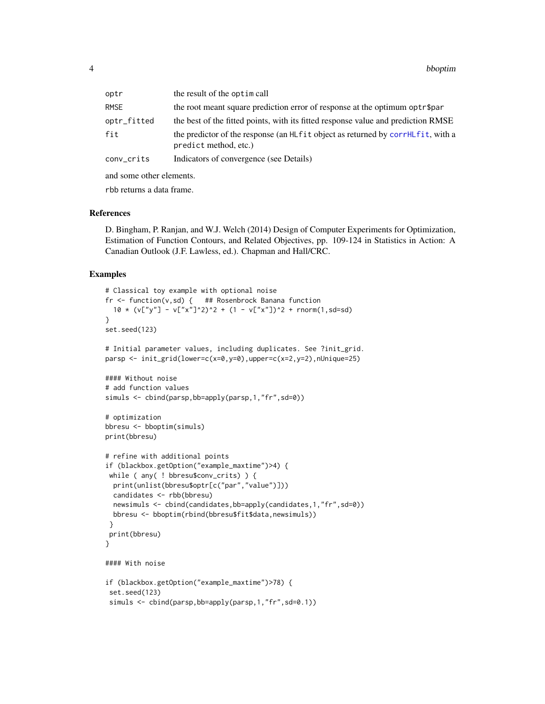<span id="page-3-0"></span>

| optr        | the result of the optim call                                                                                   |
|-------------|----------------------------------------------------------------------------------------------------------------|
| <b>RMSE</b> | the root meant square prediction error of response at the optimum optr\$par                                    |
| optr_fitted | the best of the fitted points, with its fitted response value and prediction RMSE                              |
| fit         | the predictor of the response (an HL f i t object as returned by corrHL f i t, with a<br>predict method, etc.) |
| conv_crits  | Indicators of convergence (see Details)                                                                        |

and some other elements.

rbb returns a data frame.

#### References

D. Bingham, P. Ranjan, and W.J. Welch (2014) Design of Computer Experiments for Optimization, Estimation of Function Contours, and Related Objectives, pp. 109-124 in Statistics in Action: A Canadian Outlook (J.F. Lawless, ed.). Chapman and Hall/CRC.

#### Examples

```
# Classical toy example with optional noise
fr \leq function(v,sd) { ## Rosenbrock Banana function
 10 * (v['y''] - v['x'']<sup>2</sup>)^2 + (1 - v["x"])^2 + rnorm(1,sd=sd)
}
set.seed(123)
# Initial parameter values, including duplicates. See ?init_grid.
parsp <- init_grid(lower=c(x=0,y=0),upper=c(x=2,y=2),nUnique=25)
#### Without noise
# add function values
simuls <- cbind(parsp,bb=apply(parsp,1,"fr",sd=0))
# optimization
bbresu <- bboptim(simuls)
print(bbresu)
# refine with additional points
if (blackbox.getOption("example_maxtime")>4) {
while ( any( ! bbresu$conv_crits) ) {
 print(unlist(bbresu$optr[c("par","value")]))
 candidates <- rbb(bbresu)
 newsimuls <- cbind(candidates,bb=apply(candidates,1,"fr",sd=0))
 bbresu <- bboptim(rbind(bbresu$fit$data,newsimuls))
}
print(bbresu)
}
#### With noise
if (blackbox.getOption("example_maxtime")>78) {
set.seed(123)
simuls <- cbind(parsp,bb=apply(parsp,1,"fr",sd=0.1))
```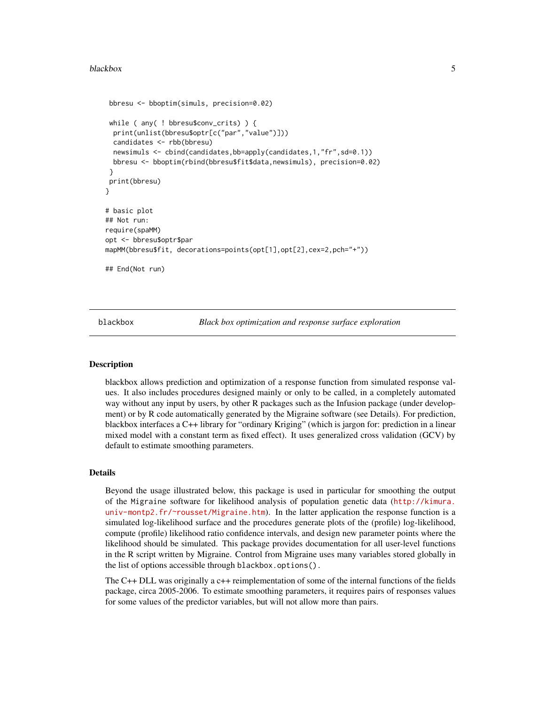#### <span id="page-4-0"></span>blackbox 5

```
bbresu <- bboptim(simuls, precision=0.02)
 while ( any( ! bbresu$conv_crits) ) {
 print(unlist(bbresu$optr[c("par","value")]))
 candidates <- rbb(bbresu)
 newsimuls <- cbind(candidates,bb=apply(candidates,1,"fr",sd=0.1))
 bbresu <- bboptim(rbind(bbresu$fit$data,newsimuls), precision=0.02)
 }
print(bbresu)
}
# basic plot
## Not run:
require(spaMM)
opt <- bbresu$optr$par
mapMM(bbresu$fit, decorations=points(opt[1],opt[2],cex=2,pch="+"))
## End(Not run)
```
blackbox *Black box optimization and response surface exploration*

# Description

blackbox allows prediction and optimization of a response function from simulated response values. It also includes procedures designed mainly or only to be called, in a completely automated way without any input by users, by other R packages such as the Infusion package (under development) or by R code automatically generated by the Migraine software (see Details). For prediction, blackbox interfaces a C++ library for "ordinary Kriging" (which is jargon for: prediction in a linear mixed model with a constant term as fixed effect). It uses generalized cross validation (GCV) by default to estimate smoothing parameters.

# Details

Beyond the usage illustrated below, this package is used in particular for smoothing the output of the Migraine software for likelihood analysis of population genetic data ([http://kimura.](http://kimura.univ-montp2.fr/~rousset/Migraine.htm) [univ-montp2.fr/~rousset/Migraine.htm](http://kimura.univ-montp2.fr/~rousset/Migraine.htm)). In the latter application the response function is a simulated log-likelihood surface and the procedures generate plots of the (profile) log-likelihood, compute (profile) likelihood ratio confidence intervals, and design new parameter points where the likelihood should be simulated. This package provides documentation for all user-level functions in the R script written by Migraine. Control from Migraine uses many variables stored globally in the list of options accessible through blackbox.options().

The C++ DLL was originally a c++ reimplementation of some of the internal functions of the fields package, circa 2005-2006. To estimate smoothing parameters, it requires pairs of responses values for some values of the predictor variables, but will not allow more than pairs.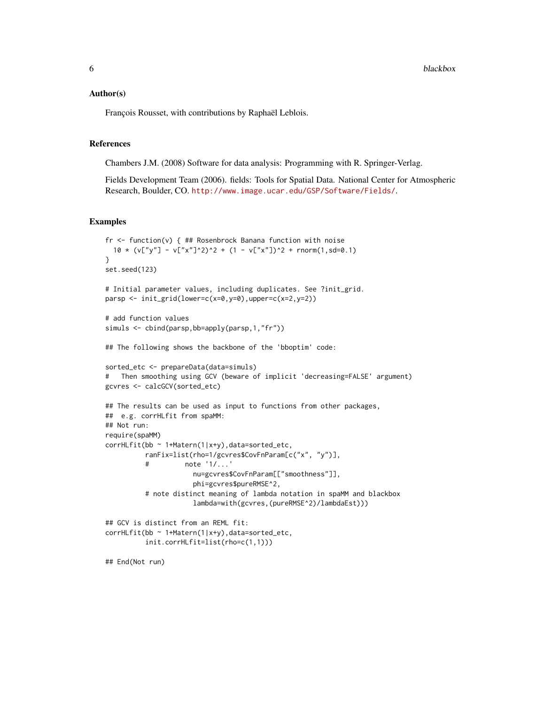#### Author(s)

François Rousset, with contributions by Raphaël Leblois.

#### References

Chambers J.M. (2008) Software for data analysis: Programming with R. Springer-Verlag.

Fields Development Team (2006). fields: Tools for Spatial Data. National Center for Atmospheric Research, Boulder, CO. <http://www.image.ucar.edu/GSP/Software/Fields/>.

# Examples

```
fr <- function(v) { ## Rosenbrock Banana function with noise
 10 \times (v['y''] - v['x'']^2)^2 + (1 - v['x''])^2 + rnorm(1, sd=0.1)}
set.seed(123)
# Initial parameter values, including duplicates. See ?init_grid.
parsp <- init_grid(lower=c(x=0,y=0),upper=c(x=2,y=2))
# add function values
simuls <- cbind(parsp,bb=apply(parsp,1,"fr"))
## The following shows the backbone of the 'bboptim' code:
sorted_etc <- prepareData(data=simuls)
# Then smoothing using GCV (beware of implicit 'decreasing=FALSE' argument)
gcvres <- calcGCV(sorted_etc)
## The results can be used as input to functions from other packages,
## e.g. corrHLfit from spaMM:
## Not run:
require(spaMM)
corrHLfit(bb ~ 1+Matern(1|x+y),data=sorted_etc,
          ranFix=list(rho=1/gcvres$CovFnParam[c("x", "y")],
          # note '1/...'
                      nu=gcvres$CovFnParam[["smoothness"]],
                      phi=gcvres$pureRMSE^2,
          # note distinct meaning of lambda notation in spaMM and blackbox
                      lambda=with(gcvres,(pureRMSE^2)/lambdaEst)))
## GCV is distinct from an REML fit:
corrHLfit(bb ~ 1+Matern(1|x+y),data=sorted_etc,
          init.corrHLfit=list(rho=c(1,1)))
## End(Not run)
```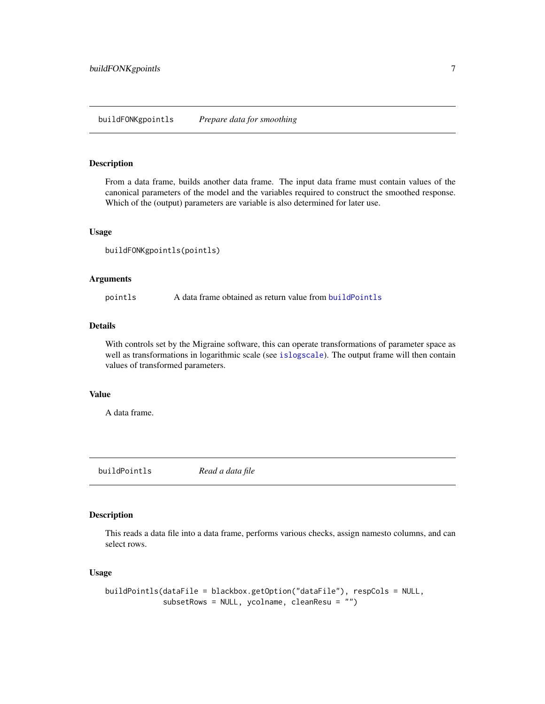# <span id="page-6-2"></span><span id="page-6-0"></span>buildFONKgpointls *Prepare data for smoothing*

### Description

From a data frame, builds another data frame. The input data frame must contain values of the canonical parameters of the model and the variables required to construct the smoothed response. Which of the (output) parameters are variable is also determined for later use.

#### Usage

```
buildFONKgpointls(pointls)
```
# Arguments

pointls A data frame obtained as return value from [buildPointls](#page-6-1)

# Details

With controls set by the Migraine software, this can operate transformations of parameter space as well as transformations in logarithmic scale (see [islogscale](#page-14-1)). The output frame will then contain values of transformed parameters.

#### Value

A data frame.

<span id="page-6-1"></span>buildPointls *Read a data file*

# Description

This reads a data file into a data frame, performs various checks, assign namesto columns, and can select rows.

```
buildPointls(dataFile = blackbox.getOption("dataFile"), respCols = NULL,
             subsetRows = NULL, ycolname, cleanResu = "")
```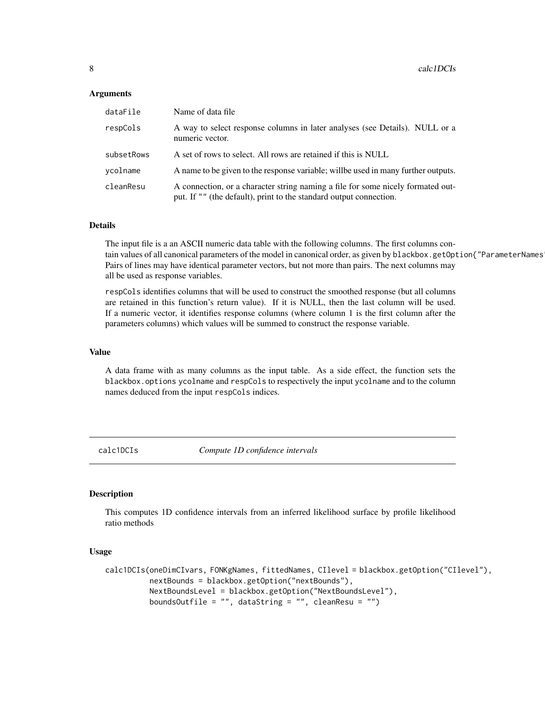# <span id="page-7-0"></span>Arguments

| dataFile   | Name of data file                                                                                                                                     |
|------------|-------------------------------------------------------------------------------------------------------------------------------------------------------|
| respCols   | A way to select response columns in later analyses (see Details). NULL or a<br>numeric vector.                                                        |
| subsetRows | A set of rows to select. All rows are retained if this is NULL                                                                                        |
| ycolname   | A name to be given to the response variable; will be used in many further outputs.                                                                    |
| cleanResu  | A connection, or a character string naming a file for some nicely formated out-<br>put. If "" (the default), print to the standard output connection. |

# Details

The input file is a an ASCII numeric data table with the following columns. The first columns contain values of all canonical parameters of the model in canonical order, as given by blackbox.getOption{"ParameterNames Pairs of lines may have identical parameter vectors, but not more than pairs. The next columns may all be used as response variables.

respCols identifies columns that will be used to construct the smoothed response (but all columns are retained in this function's return value). If it is NULL, then the last column will be used. If a numeric vector, it identifies response columns (where column 1 is the first column after the parameters columns) which values will be summed to construct the response variable.

# Value

A data frame with as many columns as the input table. As a side effect, the function sets the blackbox.options ycolname and respCols to respectively the input ycolname and to the column names deduced from the input respCols indices.

calc1DCIs *Compute 1D confidence intervals*

# **Description**

This computes 1D confidence intervals from an inferred likelihood surface by profile likelihood ratio methods

```
calc1DCIs(oneDimCIvars, FONKgNames, fittedNames, CIlevel = blackbox.getOption("CIlevel"),
          nextBounds = blackbox.getOption("nextBounds"),
          NextBoundsLevel = blackbox.getOption("NextBoundsLevel"),
          boundsOutfile = ", dataString = ", cleanResu = ")
```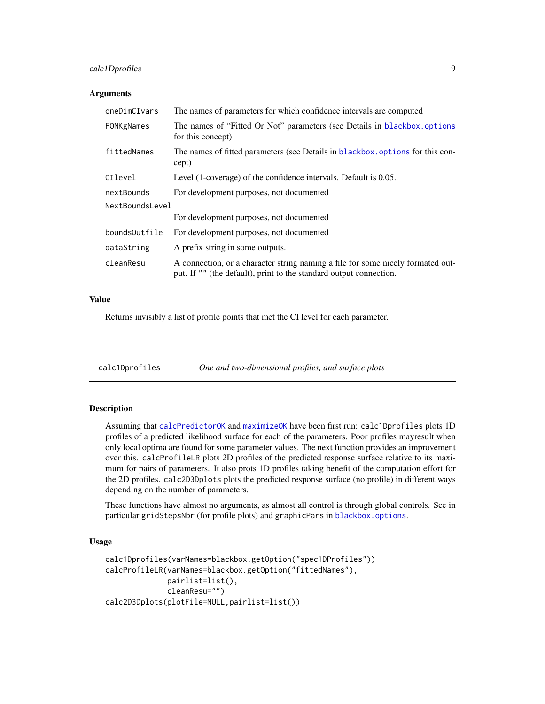# <span id="page-8-0"></span>calc1Dprofiles 9

#### **Arguments**

| oneDimCIvars    | The names of parameters for which confidence intervals are computed                                                                                   |
|-----------------|-------------------------------------------------------------------------------------------------------------------------------------------------------|
| FONKgNames      | The names of "Fitted Or Not" parameters (see Details in blackbox.options<br>for this concept)                                                         |
| fittedNames     | The names of fitted parameters (see Details in blackbox options for this con-<br>cept)                                                                |
| CIlevel         | Level (1-coverage) of the confidence intervals. Default is 0.05.                                                                                      |
| nextBounds      | For development purposes, not documented                                                                                                              |
| NextBoundsLevel |                                                                                                                                                       |
|                 | For development purposes, not documented                                                                                                              |
| boundsOutfile   | For development purposes, not documented                                                                                                              |
| dataString      | A prefix string in some outputs.                                                                                                                      |
| cleanResu       | A connection, or a character string naming a file for some nicely formated out-<br>put. If "" (the default), print to the standard output connection. |

#### Value

Returns invisibly a list of profile points that met the CI level for each parameter.

calc1Dprofiles *One and two-dimensional profiles, and surface plots*

# **Description**

Assuming that [calcPredictorOK](#page-12-1) and [maximizeOK](#page-14-2) have been first run: calc1Dprofiles plots 1D profiles of a predicted likelihood surface for each of the parameters. Poor profiles mayresult when only local optima are found for some parameter values. The next function provides an improvement over this. calcProfileLR plots 2D profiles of the predicted response surface relative to its maximum for pairs of parameters. It also prots 1D profiles taking benefit of the computation effort for the 2D profiles. calc2D3Dplots plots the predicted response surface (no profile) in different ways depending on the number of parameters.

These functions have almost no arguments, as almost all control is through global controls. See in particular gridStepsNbr (for profile plots) and graphicPars in [blackbox.options](#page-15-1).

```
calc1Dprofiles(varNames=blackbox.getOption("spec1DProfiles"))
calcProfileLR(varNames=blackbox.getOption("fittedNames"),
              pairlist=list(),
              cleanResu="")
calc2D3Dplots(plotFile=NULL,pairlist=list())
```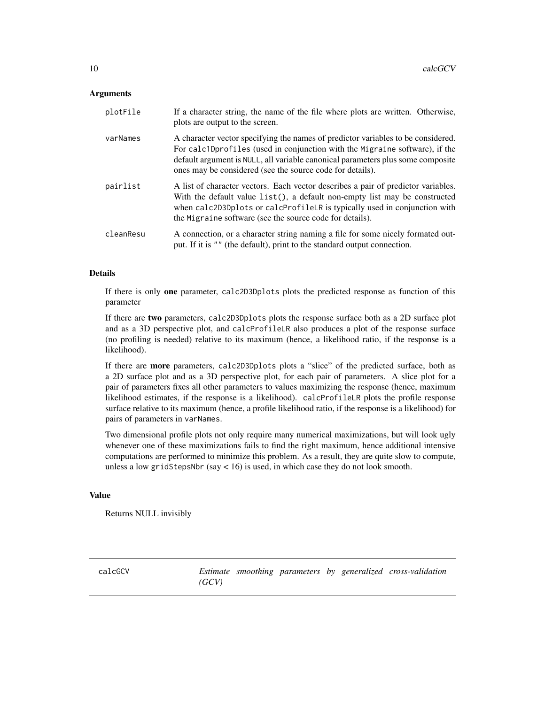# <span id="page-9-0"></span>**Arguments**

| plotFile  | If a character string, the name of the file where plots are written. Otherwise,<br>plots are output to the screen.                                                                                                                                                                                              |
|-----------|-----------------------------------------------------------------------------------------------------------------------------------------------------------------------------------------------------------------------------------------------------------------------------------------------------------------|
| varNames  | A character vector specifying the names of predictor variables to be considered.<br>For calc1Dprofiles (used in conjunction with the Migraine software), if the<br>default argument is NULL, all variable canonical parameters plus some composite<br>ones may be considered (see the source code for details). |
| pairlist  | A list of character vectors. Each vector describes a pair of predictor variables.<br>With the default value list(), a default non-empty list may be constructed<br>when calc2D3Dplots or calcProfileLR is typically used in conjunction with<br>the Migraine software (see the source code for details).        |
| cleanResu | A connection, or a character string naming a file for some nicely formated out-<br>put. If it is "" (the default), print to the standard output connection.                                                                                                                                                     |

# Details

If there is only one parameter, calc2D3Dplots plots the predicted response as function of this parameter

If there are two parameters, calc2D3Dplots plots the response surface both as a 2D surface plot and as a 3D perspective plot, and calcProfileLR also produces a plot of the response surface (no profiling is needed) relative to its maximum (hence, a likelihood ratio, if the response is a likelihood).

If there are more parameters, calc2D3Dplots plots a "slice" of the predicted surface, both as a 2D surface plot and as a 3D perspective plot, for each pair of parameters. A slice plot for a pair of parameters fixes all other parameters to values maximizing the response (hence, maximum likelihood estimates, if the response is a likelihood). calcProfileLR plots the profile response surface relative to its maximum (hence, a profile likelihood ratio, if the response is a likelihood) for pairs of parameters in varNames.

Two dimensional profile plots not only require many numerical maximizations, but will look ugly whenever one of these maximizations fails to find the right maximum, hence additional intensive computations are performed to minimize this problem. As a result, they are quite slow to compute, unless a low gridStepsNbr (say < 16) is used, in which case they do not look smooth.

#### Value

Returns NULL invisibly

<span id="page-9-1"></span>calcGCV *Estimate smoothing parameters by generalized cross-validation (GCV)*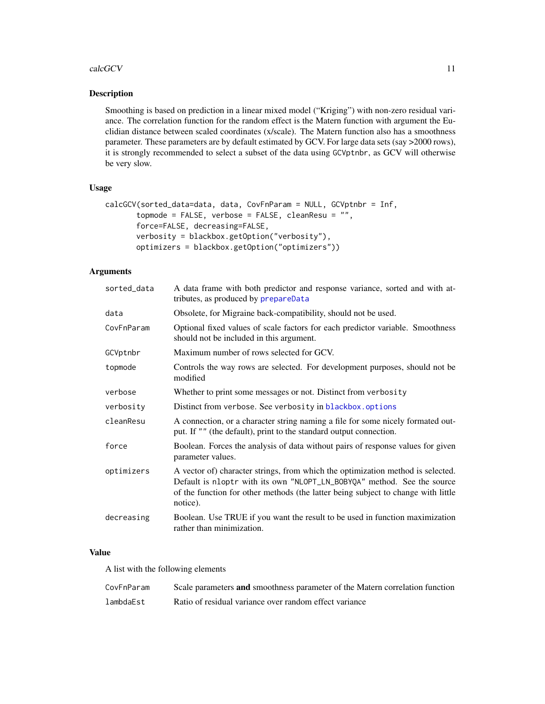#### <span id="page-10-0"></span>calcGCV 11

# Description

Smoothing is based on prediction in a linear mixed model ("Kriging") with non-zero residual variance. The correlation function for the random effect is the Matern function with argument the Euclidian distance between scaled coordinates (x/scale). The Matern function also has a smoothness parameter. These parameters are by default estimated by GCV. For large data sets (say >2000 rows), it is strongly recommended to select a subset of the data using GCVptnbr, as GCV will otherwise be very slow.

# Usage

```
calcGCV(sorted_data=data, data, CovFnParam = NULL, GCVptnbr = Inf,
       topmode = FALSE, verbose = FALSE, cleanResu = ",
       force=FALSE, decreasing=FALSE,
       verbosity = blackbox.getOption("verbosity"),
       optimizers = blackbox.getOption("optimizers"))
```
# **Arguments**

| A data frame with both predictor and response variance, sorted and with at-<br>tributes, as produced by prepareData                                                                                                                                         |
|-------------------------------------------------------------------------------------------------------------------------------------------------------------------------------------------------------------------------------------------------------------|
| Obsolete, for Migraine back-compatibility, should not be used.                                                                                                                                                                                              |
| Optional fixed values of scale factors for each predictor variable. Smoothness<br>should not be included in this argument.                                                                                                                                  |
| Maximum number of rows selected for GCV.                                                                                                                                                                                                                    |
| Controls the way rows are selected. For development purposes, should not be<br>modified                                                                                                                                                                     |
| Whether to print some messages or not. Distinct from verbosity                                                                                                                                                                                              |
| Distinct from verbose. See verbosity in blackbox.options                                                                                                                                                                                                    |
| A connection, or a character string naming a file for some nicely formated out-<br>put. If "" (the default), print to the standard output connection.                                                                                                       |
| Boolean. Forces the analysis of data without pairs of response values for given<br>parameter values.                                                                                                                                                        |
| A vector of) character strings, from which the optimization method is selected.<br>Default is nloptr with its own "NLOPT_LN_BOBYQA" method. See the source<br>of the function for other methods (the latter being subject to change with little<br>notice). |
| Boolean. Use TRUE if you want the result to be used in function maximization<br>rather than minimization.                                                                                                                                                   |
|                                                                                                                                                                                                                                                             |

# Value

A list with the following elements

| CovFnParam | Scale parameters and smoothness parameter of the Matern correlation function |
|------------|------------------------------------------------------------------------------|
| lambdaEst  | Ratio of residual variance over random effect variance                       |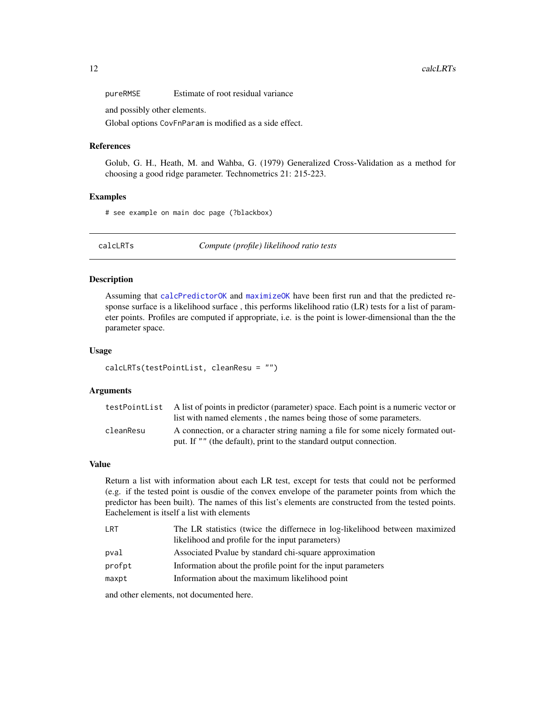<span id="page-11-0"></span>pureRMSE Estimate of root residual variance

and possibly other elements.

Global options CovFnParam is modified as a side effect.

# References

Golub, G. H., Heath, M. and Wahba, G. (1979) Generalized Cross-Validation as a method for choosing a good ridge parameter. Technometrics 21: 215-223.

# Examples

# see example on main doc page (?blackbox)

calcLRTs *Compute (profile) likelihood ratio tests*

## Description

Assuming that [calcPredictorOK](#page-12-1) and [maximizeOK](#page-14-2) have been first run and that the predicted response surface is a likelihood surface , this performs likelihood ratio (LR) tests for a list of parameter points. Profiles are computed if appropriate, i.e. is the point is lower-dimensional than the the parameter space.

## Usage

calcLRTs(testPointList, cleanResu = "")

# Arguments

|           | test Point List A list of points in predictor (parameter) space. Each point is a numeric vector or |
|-----------|----------------------------------------------------------------------------------------------------|
|           | list with named elements, the names being those of some parameters.                                |
| cleanResu | A connection, or a character string naming a file for some nicely formated out-                    |
|           | put. If "" (the default), print to the standard output connection.                                 |

#### Value

Return a list with information about each LR test, except for tests that could not be performed (e.g. if the tested point is ousdie of the convex envelope of the parameter points from which the predictor has been built). The names of this list's elements are constructed from the tested points. Eachelement is itself a list with elements

| LRT    | The LR statistics (twice the differnece in log-likelihood between maximized |
|--------|-----------------------------------------------------------------------------|
|        | likelihood and profile for the input parameters)                            |
| pval   | Associated Pvalue by standard chi-square approximation                      |
| profpt | Information about the profile point for the input parameters                |
| maxpt  | Information about the maximum likelihood point                              |
|        |                                                                             |

and other elements, not documented here.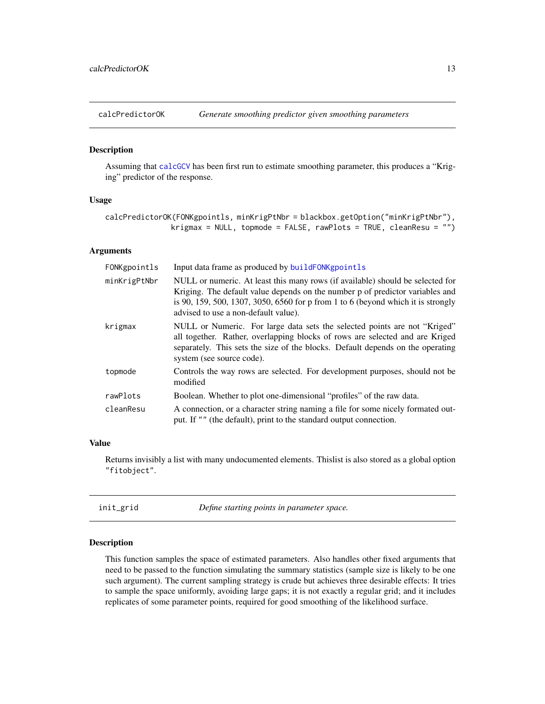<span id="page-12-1"></span><span id="page-12-0"></span>

#### Description

Assuming that [calcGCV](#page-9-1) has been first run to estimate smoothing parameter, this produces a "Kriging" predictor of the response.

# Usage

```
calcPredictorOK(FONKgpointls, minKrigPtNbr = blackbox.getOption("minKrigPtNbr"),
               krigmax = NULL, topmode = FALSE, rawPlots = TRUE, cleanResu = "")
```
# Arguments

| FONKgpointls | Input data frame as produced by buildFONKgpointls                                                                                                                                                                                                                                           |
|--------------|---------------------------------------------------------------------------------------------------------------------------------------------------------------------------------------------------------------------------------------------------------------------------------------------|
| minKrigPtNbr | NULL or numeric. At least this many rows (if available) should be selected for<br>Kriging. The default value depends on the number p of predictor variables and<br>is 90, 159, 500, 1307, 3050, 6560 for p from 1 to 6 (beyond which it is strongly<br>advised to use a non-default value). |
| krigmax      | NULL or Numeric. For large data sets the selected points are not "Kriged"<br>all together. Rather, overlapping blocks of rows are selected and are Kriged<br>separately. This sets the size of the blocks. Default depends on the operating<br>system (see source code).                    |
| topmode      | Controls the way rows are selected. For development purposes, should not be<br>modified                                                                                                                                                                                                     |
| rawPlots     | Boolean. Whether to plot one-dimensional "profiles" of the raw data.                                                                                                                                                                                                                        |
| cleanResu    | A connection, or a character string naming a file for some nicely formated out-<br>put. If "" (the default), print to the standard output connection.                                                                                                                                       |

#### Value

Returns invisibly a list with many undocumented elements. Thislist is also stored as a global option "fitobject".

| init_grid<br>Define starting points in parameter space. |  |
|---------------------------------------------------------|--|
|---------------------------------------------------------|--|

# Description

This function samples the space of estimated parameters. Also handles other fixed arguments that need to be passed to the function simulating the summary statistics (sample size is likely to be one such argument). The current sampling strategy is crude but achieves three desirable effects: It tries to sample the space uniformly, avoiding large gaps; it is not exactly a regular grid; and it includes replicates of some parameter points, required for good smoothing of the likelihood surface.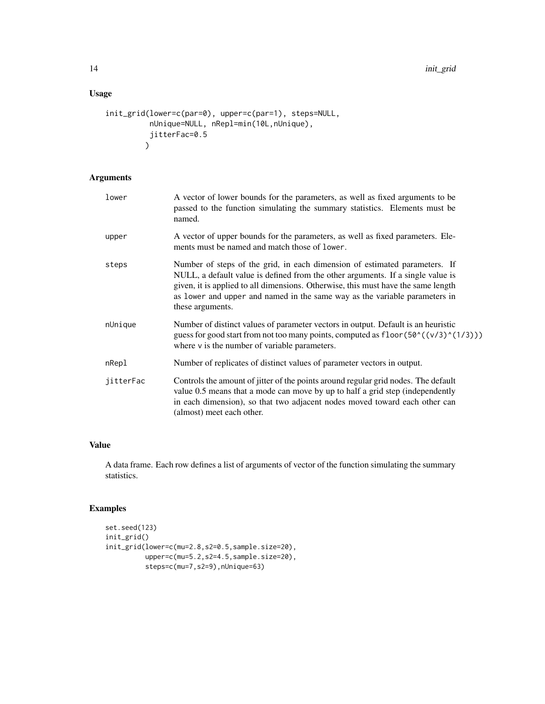# Usage

```
init_grid(lower=c(par=0), upper=c(par=1), steps=NULL,
          nUnique=NULL, nRepl=min(10L,nUnique),
          jitterFac=0.5
         \mathcal{L}
```
# Arguments

| lower     | A vector of lower bounds for the parameters, as well as fixed arguments to be<br>passed to the function simulating the summary statistics. Elements must be<br>named.                                                                                                                                                                                |
|-----------|------------------------------------------------------------------------------------------------------------------------------------------------------------------------------------------------------------------------------------------------------------------------------------------------------------------------------------------------------|
| upper     | A vector of upper bounds for the parameters, as well as fixed parameters. Ele-<br>ments must be named and match those of lower.                                                                                                                                                                                                                      |
| steps     | Number of steps of the grid, in each dimension of estimated parameters. If<br>NULL, a default value is defined from the other arguments. If a single value is<br>given, it is applied to all dimensions. Otherwise, this must have the same length<br>as lower and upper and named in the same way as the variable parameters in<br>these arguments. |
| nUnique   | Number of distinct values of parameter vectors in output. Default is an heuristic<br>guess for good start from not too many points, computed as $floor(50^((v/3)^((1/3)))$<br>where $\nu$ is the number of variable parameters.                                                                                                                      |
| nRepl     | Number of replicates of distinct values of parameter vectors in output.                                                                                                                                                                                                                                                                              |
| jitterFac | Controls the amount of jitter of the points around regular grid nodes. The default<br>value 0.5 means that a mode can move by up to half a grid step (independently<br>in each dimension), so that two adjacent nodes moved toward each other can<br>(almost) meet each other.                                                                       |

# Value

A data frame. Each row defines a list of arguments of vector of the function simulating the summary statistics.

# Examples

```
set.seed(123)
init_grid()
init_grid(lower=c(mu=2.8,s2=0.5,sample.size=20),
         upper=c(mu=5.2,s2=4.5,sample.size=20),
          steps=c(mu=7,s2=9),nUnique=63)
```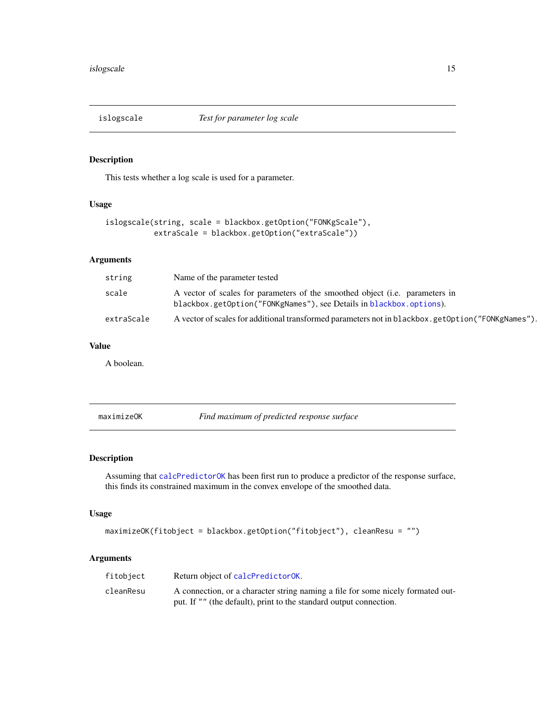<span id="page-14-1"></span><span id="page-14-0"></span>

# Description

This tests whether a log scale is used for a parameter.

# Usage

```
islogscale(string, scale = blackbox.getOption("FONKgScale"),
          extraScale = blackbox.getOption("extraScale"))
```
# Arguments

| string     | Name of the parameter tested                                                                                                                                |
|------------|-------------------------------------------------------------------------------------------------------------------------------------------------------------|
| scale      | A vector of scales for parameters of the smoothed object ( <i>i.e.</i> parameters in<br>blackbox.getOption("FONKgNames"), see Details in blackbox.options). |
| extraScale | A vector of scales for additional transformed parameters not in blackbox.getOption("FONKgNames").                                                           |

# Value

A boolean.

<span id="page-14-2"></span>maximizeOK *Find maximum of predicted response surface*

# Description

Assuming that [calcPredictorOK](#page-12-1) has been first run to produce a predictor of the response surface, this finds its constrained maximum in the convex envelope of the smoothed data.

# Usage

```
maximizeOK(fitobject = blackbox.getOption("fitobject"), cleanResu = "")
```
# Arguments

| fitobject | Return object of calcPredictorOK.                                               |
|-----------|---------------------------------------------------------------------------------|
| cleanResu | A connection, or a character string naming a file for some nicely formated out- |
|           | put. If "" (the default), print to the standard output connection.              |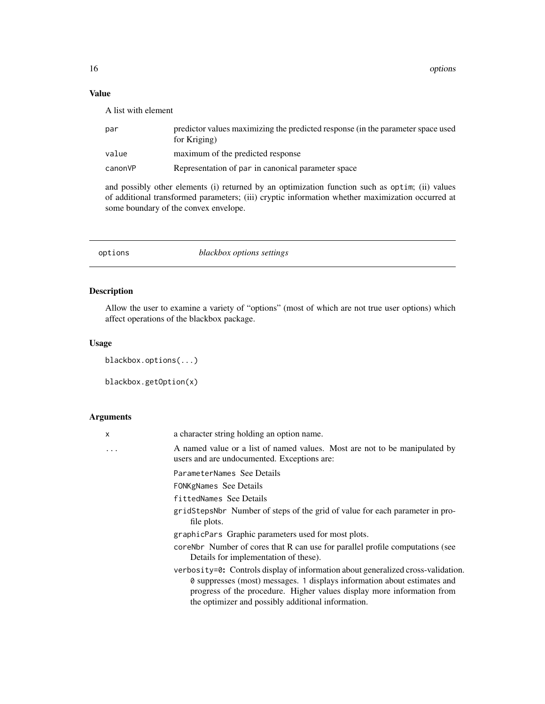# <span id="page-15-0"></span>Value

A list with element

| par     | predictor values maximizing the predicted response (in the parameter space used<br>for Kriging) |
|---------|-------------------------------------------------------------------------------------------------|
| value   | maximum of the predicted response                                                               |
| canonVP | Representation of par in canonical parameter space                                              |
|         |                                                                                                 |

and possibly other elements (i) returned by an optimization function such as optim; (ii) values of additional transformed parameters; (iii) cryptic information whether maximization occurred at some boundary of the convex envelope.

options *blackbox options settings*

# <span id="page-15-1"></span>Description

Allow the user to examine a variety of "options" (most of which are not true user options) which affect operations of the blackbox package.

# Usage

```
blackbox.options(...)
```
blackbox.getOption(x)

# Arguments

| X | a character string holding an option name.                                                                                                                                                                                                                                                   |
|---|----------------------------------------------------------------------------------------------------------------------------------------------------------------------------------------------------------------------------------------------------------------------------------------------|
| . | A named value or a list of named values. Most are not to be manipulated by<br>users and are undocumented. Exceptions are:                                                                                                                                                                    |
|   | ParameterNames See Details<br><b>FONKgNames</b> See Details                                                                                                                                                                                                                                  |
|   | fittedNames See Details                                                                                                                                                                                                                                                                      |
|   | gridStepsNbr Number of steps of the grid of value for each parameter in pro-<br>file plots.                                                                                                                                                                                                  |
|   | graphicPars Graphic parameters used for most plots.                                                                                                                                                                                                                                          |
|   | core Norm Number of cores that R can use for parallel profile computations (see<br>Details for implementation of these).                                                                                                                                                                     |
|   | verbosity=0: Controls display of information about generalized cross-validation.<br>0 suppresses (most) messages. 1 displays information about estimates and<br>progress of the procedure. Higher values display more information from<br>the optimizer and possibly additional information. |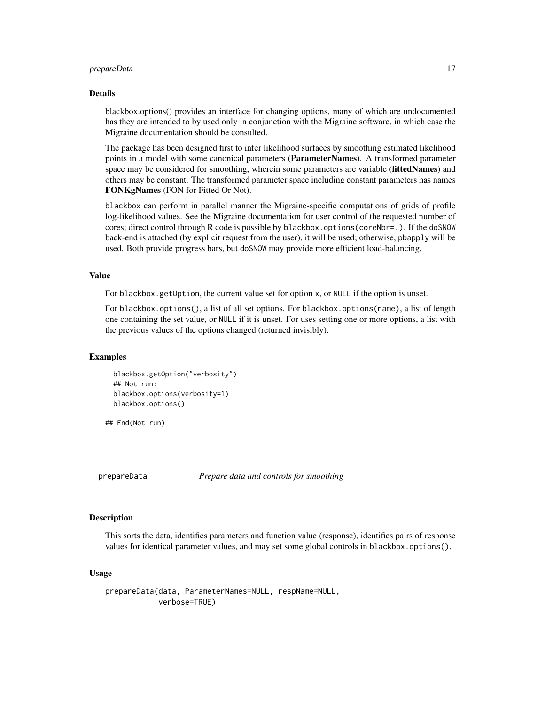#### <span id="page-16-0"></span>prepareData 17

#### Details

blackbox.options() provides an interface for changing options, many of which are undocumented has they are intended to by used only in conjunction with the Migraine software, in which case the Migraine documentation should be consulted.

The package has been designed first to infer likelihood surfaces by smoothing estimated likelihood points in a model with some canonical parameters (ParameterNames). A transformed parameter space may be considered for smoothing, wherein some parameters are variable (fittedNames) and others may be constant. The transformed parameter space including constant parameters has names FONKgNames (FON for Fitted Or Not).

blackbox can perform in parallel manner the Migraine-specific computations of grids of profile log-likelihood values. See the Migraine documentation for user control of the requested number of cores; direct control through R code is possible by blackbox.options(coreNbr=.). If the doSNOW back-end is attached (by explicit request from the user), it will be used; otherwise, pbapply will be used. Both provide progress bars, but doSNOW may provide more efficient load-balancing.

#### Value

For blackbox.getOption, the current value set for option x, or NULL if the option is unset.

For blackbox.options(), a list of all set options. For blackbox.options(name), a list of length one containing the set value, or NULL if it is unset. For uses setting one or more options, a list with the previous values of the options changed (returned invisibly).

# Examples

```
blackbox.getOption("verbosity")
## Not run:
blackbox.options(verbosity=1)
blackbox.options()
```
## End(Not run)

<span id="page-16-1"></span>

prepareData *Prepare data and controls for smoothing*

# Description

This sorts the data, identifies parameters and function value (response), identifies pairs of response values for identical parameter values, and may set some global controls in blackbox.options().

```
prepareData(data, ParameterNames=NULL, respName=NULL,
            verbose=TRUE)
```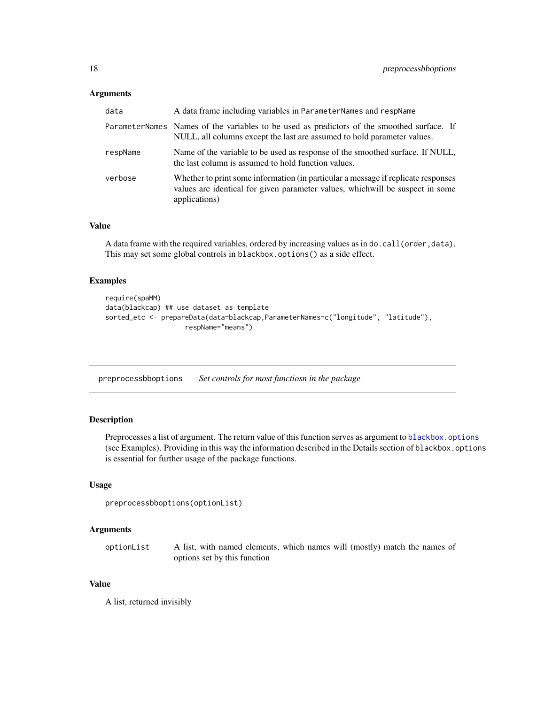# <span id="page-17-0"></span>Arguments

| data     | A data frame including variables in ParameterNames and respName                                                                                                                      |
|----------|--------------------------------------------------------------------------------------------------------------------------------------------------------------------------------------|
|          | ParameterNames Names of the variables to be used as predictors of the smoothed surface. If<br>NULL, all columns except the last are assumed to hold parameter values.                |
| respName | Name of the variable to be used as response of the smoothed surface. If NULL,<br>the last column is assumed to hold function values.                                                 |
| verbose  | Whether to print some information (in particular a message if replicate responses<br>values are identical for given parameter values, which will be suspect in some<br>applications) |

# Value

A data frame with the required variables, ordered by increasing values as in do.call(order,data). This may set some global controls in blackbox.options() as a side effect.

# Examples

```
require(spaMM)
data(blackcap) ## use dataset as template
sorted_etc <- prepareData(data=blackcap,ParameterNames=c("longitude", "latitude"),
                    respName="means")
```
preprocessbboptions *Set controls for most functiosn in the package*

# Description

Preprocesses a list of argument. The return value of this function serves as argument to [blackbox.options](#page-15-1) (see Examples). Providing in this way the information described in the Details section of blackbox.options is essential for further usage of the package functions.

#### Usage

```
preprocessbboptions(optionList)
```
# Arguments

optionList A list, with named elements, which names will (mostly) match the names of options set by this function

#### Value

A list, returned invisibly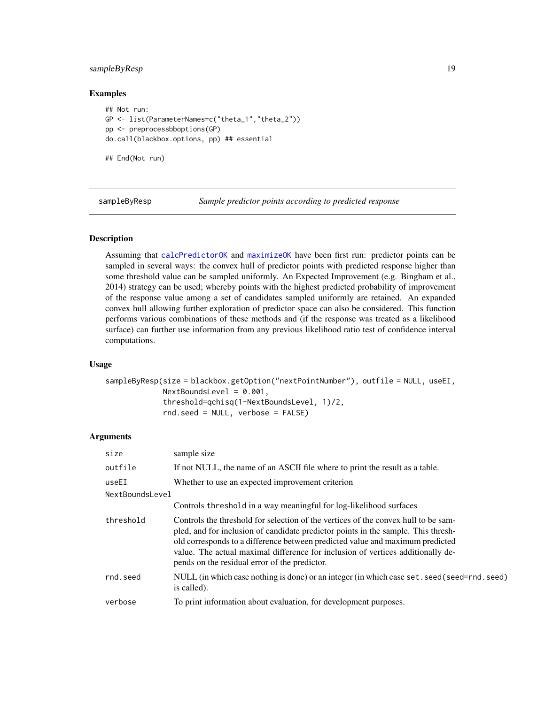# <span id="page-18-0"></span>sampleByResp 19

# Examples

```
## Not run:
GP <- list(ParameterNames=c("theta_1","theta_2"))
pp <- preprocessbboptions(GP)
do.call(blackbox.options, pp) ## essential
```
## End(Not run)

sampleByResp *Sample predictor points according to predicted response*

# Description

Assuming that [calcPredictorOK](#page-12-1) and [maximizeOK](#page-14-2) have been first run: predictor points can be sampled in several ways: the convex hull of predictor points with predicted response higher than some threshold value can be sampled uniformly. An Expected Improvement (e.g. Bingham et al., 2014) strategy can be used; whereby points with the highest predicted probability of improvement of the response value among a set of candidates sampled uniformly are retained. An expanded convex hull allowing further exploration of predictor space can also be considered. This function performs various combinations of these methods and (if the response was treated as a likelihood surface) can further use information from any previous likelihood ratio test of confidence interval computations.

# Usage

```
sampleByResp(size = blackbox.getOption("nextPointNumber"), outfile = NULL, useEI,
             NextBoundsLevel = 0.001,
             threshold=qchisq(1-NextBoundsLevel, 1)/2,
             rnd.seed = NULL, verbose = FALSE)
```
# **Arguments**

| size            | sample size                                                                                                                                                                                                                                                                                                                                                                                  |
|-----------------|----------------------------------------------------------------------------------------------------------------------------------------------------------------------------------------------------------------------------------------------------------------------------------------------------------------------------------------------------------------------------------------------|
| outfile         | If not NULL, the name of an ASCII file where to print the result as a table.                                                                                                                                                                                                                                                                                                                 |
| useEI           | Whether to use an expected improvement criterion                                                                                                                                                                                                                                                                                                                                             |
| NextBoundsLevel |                                                                                                                                                                                                                                                                                                                                                                                              |
|                 | Controls threshold in a way meaningful for log-likelihood surfaces                                                                                                                                                                                                                                                                                                                           |
| threshold       | Controls the threshold for selection of the vertices of the convex hull to be sam-<br>pled, and for inclusion of candidate predictor points in the sample. This thresh-<br>old corresponds to a difference between predicted value and maximum predicted<br>value. The actual maximal difference for inclusion of vertices additionally de-<br>pends on the residual error of the predictor. |
| rnd.seed        | NULL (in which case nothing is done) or an integer (in which case set. seed(seed=rnd. seed)<br>is called).                                                                                                                                                                                                                                                                                   |
| verbose         | To print information about evaluation, for development purposes.                                                                                                                                                                                                                                                                                                                             |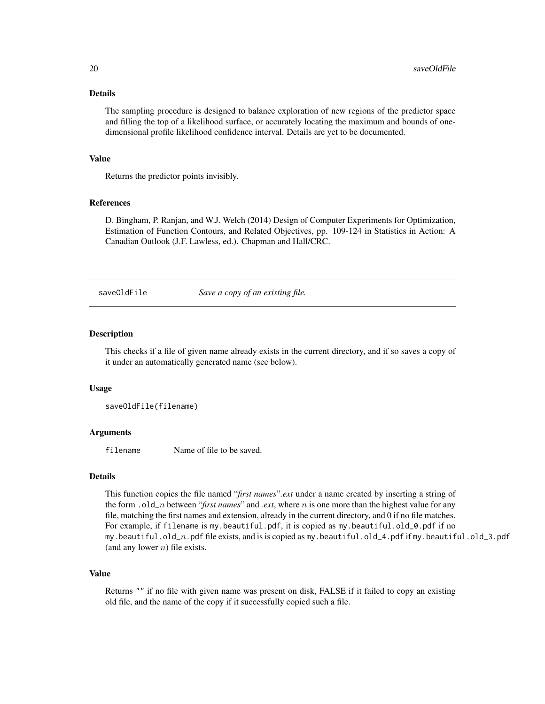#### <span id="page-19-0"></span>Details

The sampling procedure is designed to balance exploration of new regions of the predictor space and filling the top of a likelihood surface, or accurately locating the maximum and bounds of onedimensional profile likelihood confidence interval. Details are yet to be documented.

# Value

Returns the predictor points invisibly.

# References

D. Bingham, P. Ranjan, and W.J. Welch (2014) Design of Computer Experiments for Optimization, Estimation of Function Contours, and Related Objectives, pp. 109-124 in Statistics in Action: A Canadian Outlook (J.F. Lawless, ed.). Chapman and Hall/CRC.

saveOldFile *Save a copy of an existing file.*

#### **Description**

This checks if a file of given name already exists in the current directory, and if so saves a copy of it under an automatically generated name (see below).

#### Usage

saveOldFile(filename)

# Arguments

filename Name of file to be saved.

# Details

This function copies the file named "*first names*"*.ext* under a name created by inserting a string of the form . old\_n between "*first names*" and *.ext*, where n is one more than the highest value for any file, matching the first names and extension, already in the current directory, and 0 if no file matches. For example, if filename is my.beautiful.pdf, it is copied as my.beautiful.old\_0.pdf if no my.beautiful.old\_n.pdf file exists, and is is copied as my.beautiful.old\_4.pdf if my.beautiful.old\_3.pdf (and any lower  $n$ ) file exists.

# Value

Returns "" if no file with given name was present on disk, FALSE if it failed to copy an existing old file, and the name of the copy if it successfully copied such a file.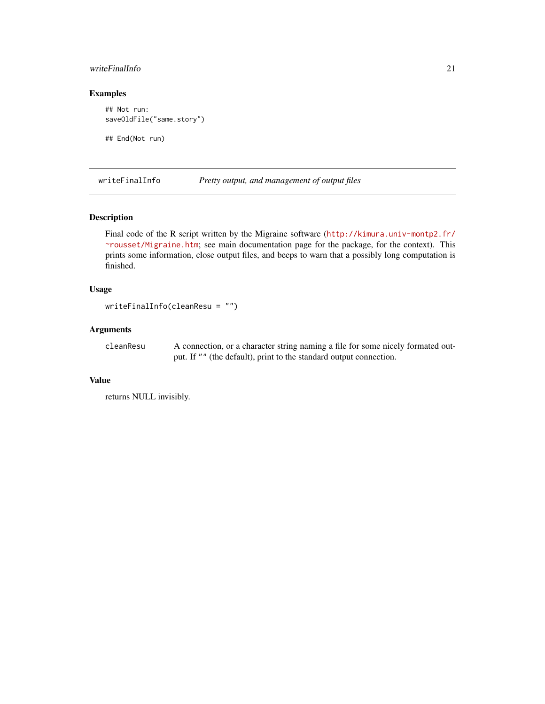# <span id="page-20-0"></span>writeFinalInfo 21

# Examples

```
## Not run:
saveOldFile("same.story")
## End(Not run)
```
writeFinalInfo *Pretty output, and management of output files*

# Description

Final code of the R script written by the Migraine software ([http://kimura.univ-montp2.fr/](http://kimura.univ-montp2.fr/~rousset/Migraine.htm) [~rousset/Migraine.htm](http://kimura.univ-montp2.fr/~rousset/Migraine.htm); see main documentation page for the package, for the context). This prints some information, close output files, and beeps to warn that a possibly long computation is finished.

# Usage

```
writeFinalInfo(cleanResu = "")
```
# Arguments

cleanResu A connection, or a character string naming a file for some nicely formated output. If "" (the default), print to the standard output connection.

# Value

returns NULL invisibly.